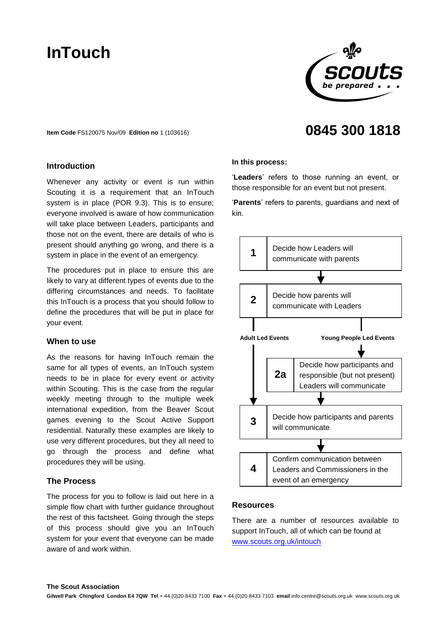# **InTouch**



**0845 300 1818**

**Item Code** FS120075 Nov/09 **Edition no** 1 (103616)

# **Introduction**

Whenever any activity or event is run within Scouting it is a requirement that an InTouch system is in place (POR 9.3). This is to ensure; everyone involved is aware of how communication will take place between Leaders, participants and those not on the event, there are details of who is present should anything go wrong, and there is a system in place in the event of an emergency.

The procedures put in place to ensure this are likely to vary at different types of events due to the differing circumstances and needs. To facilitate this InTouch is a process that you should follow to define the procedures that will be put in place for your event.

## **When to use**

As the reasons for having InTouch remain the same for all types of events, an InTouch system needs to be in place for every event or activity within Scouting. This is the case from the regular weekly meeting through to the multiple week international expedition, from the Beaver Scout games evening to the Scout Active Support residential. Naturally these examples are likely to use very different procedures, but they all need to go through the process and define what procedures they will be using.

## **The Process**

The process for you to follow is laid out here in a simple flow chart with further guidance throughout the rest of this factsheet. Going through the steps of this process should give you an InTouch system for your event that everyone can be made aware of and work within.

#### **In this process:**

'**Leaders**' refers to those running an event, or those responsible for an event but not present.

'**Parents**' refers to parents, guardians and next of kin.



## **Resources**

There are a number of resources available to support InTouch, all of which can be found at [www.scouts.org.uk/intouch](http://www.scouts.org.uk/)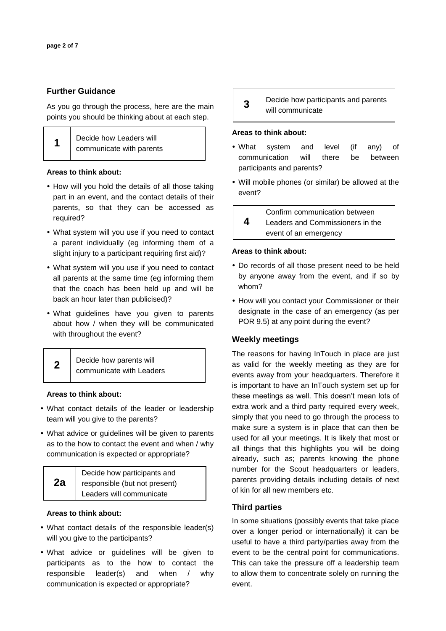# **Further Guidance**

As you go through the process, here are the main points you should be thinking about at each step.

| 1 | Decide how Leaders will  |
|---|--------------------------|
|   | communicate with parents |

## **Areas to think about:**

- How will you hold the details of all those taking part in an event, and the contact details of their parents, so that they can be accessed as required?
- What system will you use if you need to contact a parent individually (eg informing them of a slight injury to a participant requiring first aid)?
- What system will you use if you need to contact all parents at the same time (eg informing them that the coach has been held up and will be back an hour later than publicised)?
- What guidelines have you given to parents about how / when they will be communicated with throughout the event?

| Decide how parents will  |
|--------------------------|
| communicate with Leaders |

#### **Areas to think about:**

- What contact details of the leader or leadership team will you give to the parents?
- What advice or guidelines will be given to parents as to the how to contact the event and when / why communication is expected or appropriate?

|    | Decide how participants and   |
|----|-------------------------------|
| 2a | responsible (but not present) |
|    | Leaders will communicate      |

#### **Areas to think about:**

- What contact details of the responsible leader(s) will you give to the participants?
- What advice or guidelines will be given to participants as to the how to contact the responsible leader(s) and when / why communication is expected or appropriate?

| $\overline{3}$ | Decide how participants and parents |
|----------------|-------------------------------------|
|                | will communicate                    |

#### **Areas to think about:**

- What system and level (if any) of communication will there be between participants and parents?
- Will mobile phones (or similar) be allowed at the event?

Confirm communication between Leaders and Commissioners in the event of an emergency **4**

## **Areas to think about:**

- Do records of all those present need to be held by anyone away from the event, and if so by whom?
- How will you contact your Commissioner or their designate in the case of an emergency (as per POR 9.5) at any point during the event?

# **Weekly meetings**

The reasons for having InTouch in place are just as valid for the weekly meeting as they are for events away from your headquarters. Therefore it is important to have an InTouch system set up for these meetings as well. This doesn't mean lots of extra work and a third party required every week, simply that you need to go through the process to make sure a system is in place that can then be used for all your meetings. It is likely that most or all things that this highlights you will be doing already, such as; parents knowing the phone number for the Scout headquarters or leaders, parents providing details including details of next of kin for all new members etc.

# **Third parties**

In some situations (possibly events that take place over a longer period or internationally) it can be useful to have a third party/parties away from the event to be the central point for communications. This can take the pressure off a leadership team to allow them to concentrate solely on running the event.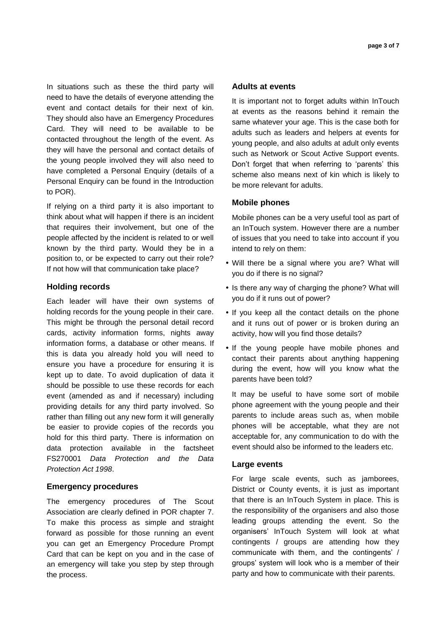In situations such as these the third party will need to have the details of everyone attending the event and contact details for their next of kin. They should also have an Emergency Procedures Card. They will need to be available to be contacted throughout the length of the event. As they will have the personal and contact details of the young people involved they will also need to have completed a Personal Enquiry (details of a Personal Enquiry can be found in the Introduction to POR).

If relying on a third party it is also important to think about what will happen if there is an incident that requires their involvement, but one of the people affected by the incident is related to or well known by the third party. Would they be in a position to, or be expected to carry out their role? If not how will that communication take place?

## **Holding records**

Each leader will have their own systems of holding records for the young people in their care. This might be through the personal detail record cards, activity information forms, nights away information forms, a database or other means. If this is data you already hold you will need to ensure you have a procedure for ensuring it is kept up to date. To avoid duplication of data it should be possible to use these records for each event (amended as and if necessary) including providing details for any third party involved. So rather than filling out any new form it will generally be easier to provide copies of the records you hold for this third party. There is information on data protection available in the factsheet FS270001 *Data Protection and the Data Protection Act 1998*.

#### **Emergency procedures**

The emergency procedures of The Scout Association are clearly defined in POR chapter 7. To make this process as simple and straight forward as possible for those running an event you can get an Emergency Procedure Prompt Card that can be kept on you and in the case of an emergency will take you step by step through the process.

## **Adults at events**

It is important not to forget adults within InTouch at events as the reasons behind it remain the same whatever your age. This is the case both for adults such as leaders and helpers at events for young people, and also adults at adult only events such as Network or Scout Active Support events. Don't forget that when referring to 'parents' this scheme also means next of kin which is likely to be more relevant for adults.

## **Mobile phones**

Mobile phones can be a very useful tool as part of an InTouch system. However there are a number of issues that you need to take into account if you intend to rely on them:

- Will there be a signal where you are? What will you do if there is no signal?
- Is there any way of charging the phone? What will you do if it runs out of power?
- If you keep all the contact details on the phone and it runs out of power or is broken during an activity, how will you find those details?
- If the young people have mobile phones and contact their parents about anything happening during the event, how will you know what the parents have been told?

It may be useful to have some sort of mobile phone agreement with the young people and their parents to include areas such as, when mobile phones will be acceptable, what they are not acceptable for, any communication to do with the event should also be informed to the leaders etc.

#### **Large events**

For large scale events, such as jamborees, District or County events, it is just as important that there is an InTouch System in place. This is the responsibility of the organisers and also those leading groups attending the event. So the organisers' InTouch System will look at what contingents / groups are attending how they communicate with them, and the contingents' / groups' system will look who is a member of their party and how to communicate with their parents.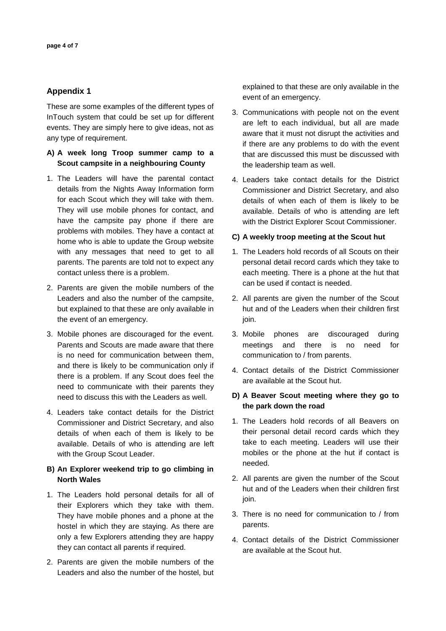# **Appendix 1**

These are some examples of the different types of InTouch system that could be set up for different events. They are simply here to give ideas, not as any type of requirement.

# **A) A week long Troop summer camp to a Scout campsite in a neighbouring County**

- 1. The Leaders will have the parental contact details from the Nights Away Information form for each Scout which they will take with them. They will use mobile phones for contact, and have the campsite pay phone if there are problems with mobiles. They have a contact at home who is able to update the Group website with any messages that need to get to all parents. The parents are told not to expect any contact unless there is a problem.
- 2. Parents are given the mobile numbers of the Leaders and also the number of the campsite, but explained to that these are only available in the event of an emergency.
- 3. Mobile phones are discouraged for the event. Parents and Scouts are made aware that there is no need for communication between them, and there is likely to be communication only if there is a problem. If any Scout does feel the need to communicate with their parents they need to discuss this with the Leaders as well.
- 4. Leaders take contact details for the District Commissioner and District Secretary, and also details of when each of them is likely to be available. Details of who is attending are left with the Group Scout Leader.

# **B) An Explorer weekend trip to go climbing in North Wales**

- 1. The Leaders hold personal details for all of their Explorers which they take with them. They have mobile phones and a phone at the hostel in which they are staying. As there are only a few Explorers attending they are happy they can contact all parents if required.
- 2. Parents are given the mobile numbers of the Leaders and also the number of the hostel, but

explained to that these are only available in the event of an emergency.

- 3. Communications with people not on the event are left to each individual, but all are made aware that it must not disrupt the activities and if there are any problems to do with the event that are discussed this must be discussed with the leadership team as well.
- 4. Leaders take contact details for the District Commissioner and District Secretary, and also details of when each of them is likely to be available. Details of who is attending are left with the District Explorer Scout Commissioner.

## **C) A weekly troop meeting at the Scout hut**

- 1. The Leaders hold records of all Scouts on their personal detail record cards which they take to each meeting. There is a phone at the hut that can be used if contact is needed.
- 2. All parents are given the number of the Scout hut and of the Leaders when their children first join.
- 3. Mobile phones are discouraged during meetings and there is no need for communication to / from parents.
- 4. Contact details of the District Commissioner are available at the Scout hut.

# **D) A Beaver Scout meeting where they go to the park down the road**

- 1. The Leaders hold records of all Beavers on their personal detail record cards which they take to each meeting. Leaders will use their mobiles or the phone at the hut if contact is needed.
- 2. All parents are given the number of the Scout hut and of the Leaders when their children first join.
- 3. There is no need for communication to / from parents.
- 4. Contact details of the District Commissioner are available at the Scout hut.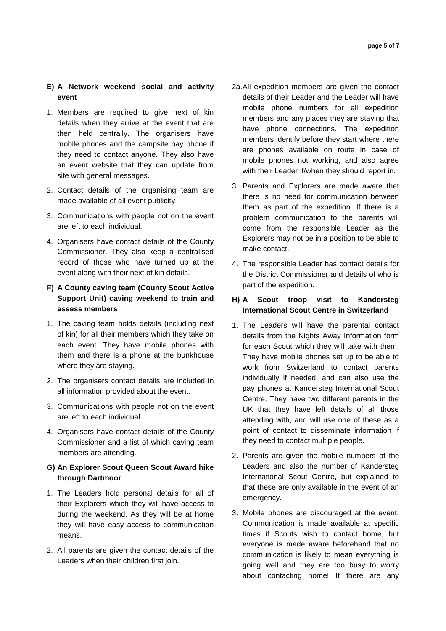# **E) A Network weekend social and activity event**

- 1. Members are required to give next of kin details when they arrive at the event that are then held centrally. The organisers have mobile phones and the campsite pay phone if they need to contact anyone. They also have an event website that they can update from site with general messages.
- 2. Contact details of the organising team are made available of all event publicity
- 3. Communications with people not on the event are left to each individual.
- 4. Organisers have contact details of the County Commissioner. They also keep a centralised record of those who have turned up at the event along with their next of kin details.

# **F) A County caving team (County Scout Active Support Unit) caving weekend to train and assess members**

- 1. The caving team holds details (including next of kin) for all their members which they take on each event. They have mobile phones with them and there is a phone at the bunkhouse where they are staying.
- 2. The organisers contact details are included in all information provided about the event.
- 3. Communications with people not on the event are left to each individual.
- 4. Organisers have contact details of the County Commissioner and a list of which caving team members are attending.

# **G) An Explorer Scout Queen Scout Award hike through Dartmoor**

- 1. The Leaders hold personal details for all of their Explorers which they will have access to during the weekend. As they will be at home they will have easy access to communication means.
- 2. All parents are given the contact details of the Leaders when their children first join.
- 2a.All expedition members are given the contact details of their Leader and the Leader will have mobile phone numbers for all expedition members and any places they are staying that have phone connections. The expedition members identify before they start where there are phones available on route in case of mobile phones not working, and also agree with their Leader if/when they should report in.
- 3. Parents and Explorers are made aware that there is no need for communication between them as part of the expedition. If there is a problem communication to the parents will come from the responsible Leader as the Explorers may not be in a position to be able to make contact.
- 4. The responsible Leader has contact details for the District Commissioner and details of who is part of the expedition.

# **H) A Scout troop visit to Kandersteg International Scout Centre in Switzerland**

- 1. The Leaders will have the parental contact details from the Nights Away Information form for each Scout which they will take with them. They have mobile phones set up to be able to work from Switzerland to contact parents individually if needed, and can also use the pay phones at Kandersteg International Scout Centre. They have two different parents in the UK that they have left details of all those attending with, and will use one of these as a point of contact to disseminate information if they need to contact multiple people.
- 2. Parents are given the mobile numbers of the Leaders and also the number of Kandersteg International Scout Centre, but explained to that these are only available in the event of an emergency.
- 3. Mobile phones are discouraged at the event. Communication is made available at specific times if Scouts wish to contact home, but everyone is made aware beforehand that no communication is likely to mean everything is going well and they are too busy to worry about contacting home! If there are any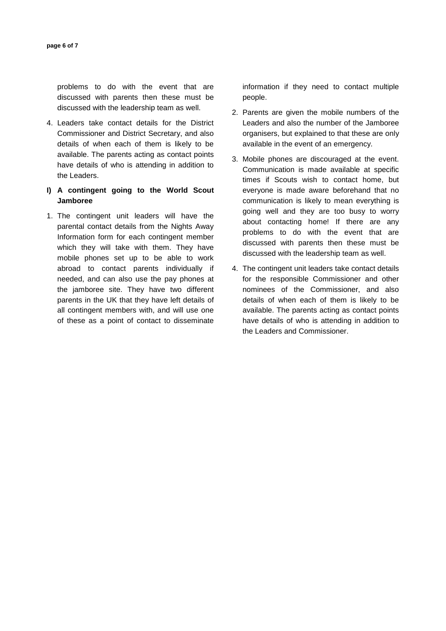problems to do with the event that are discussed with parents then these must be discussed with the leadership team as well.

4. Leaders take contact details for the District Commissioner and District Secretary, and also details of when each of them is likely to be available. The parents acting as contact points have details of who is attending in addition to the Leaders.

# **I) A contingent going to the World Scout Jamboree**

1. The contingent unit leaders will have the parental contact details from the Nights Away Information form for each contingent member which they will take with them. They have mobile phones set up to be able to work abroad to contact parents individually if needed, and can also use the pay phones at the jamboree site. They have two different parents in the UK that they have left details of all contingent members with, and will use one of these as a point of contact to disseminate

information if they need to contact multiple people.

- 2. Parents are given the mobile numbers of the Leaders and also the number of the Jamboree organisers, but explained to that these are only available in the event of an emergency.
- 3. Mobile phones are discouraged at the event. Communication is made available at specific times if Scouts wish to contact home, but everyone is made aware beforehand that no communication is likely to mean everything is going well and they are too busy to worry about contacting home! If there are any problems to do with the event that are discussed with parents then these must be discussed with the leadership team as well.
- 4. The contingent unit leaders take contact details for the responsible Commissioner and other nominees of the Commissioner, and also details of when each of them is likely to be available. The parents acting as contact points have details of who is attending in addition to the Leaders and Commissioner.